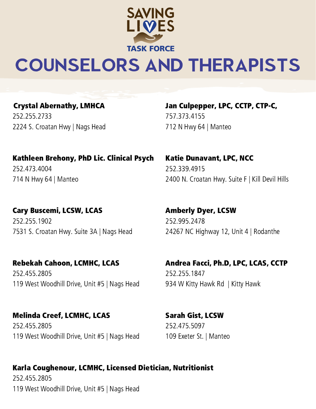

# COUNSELORS AND THERAPISTS

Crystal Abernathy, LMHCA 252.255.2733 2224 S. Croatan Hwy | Nags Head Jan Culpepper, LPC, CCTP, CTP-C, 757.373.4155 712 N Hwy 64 | Manteo

Kathleen Brehony, PhD Lic. Clinical Psych 252.473.4004 714 N Hwy 64 | Manteo

Cary Buscemi, LCSW, LCAS 252.255.1902 7531 S. Croatan Hwy. Suite 3A | Nags Head

Rebekah Cahoon, LCMHC, LCAS 252.455.2805 119 West Woodhill Drive, Unit #5 | Nags Head

Melinda Creef, LCMHC, LCAS 252.455.2805 119 West Woodhill Drive, Unit #5 | Nags Head Katie Dunavant, LPC, NCC 252.339.4915 2400 N. Croatan Hwy. Suite F | Kill Devil Hills

Amberly Dyer, LCSW 252.995.2478 24267 NC Highway 12, Unit 4 | Rodanthe

Andrea Facci, Ph.D, LPC, LCAS, CCTP 252.255.1847 934 W Kitty Hawk Rd | Kitty Hawk

Sarah Gist, LCSW 252.475.5097 109 Exeter St. | Manteo

### Karla Coughenour, LCMHC, Licensed Dietician, Nutritionist

252.455.2805 119 West Woodhill Drive, Unit #5 | Nags Head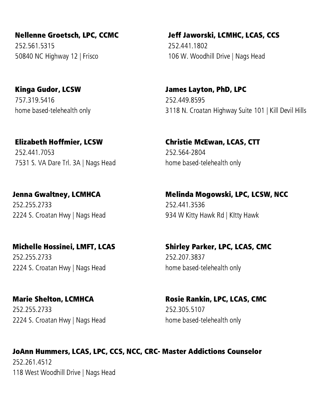Nellenne Groetsch, LPC, CCMC 252.561.5315 50840 NC Highway 12 | Frisco

Kinga Gudor, LCSW 757.319.5416 home based-telehealth only

Elizabeth Hoffmier, LCSW 252.441.7053 7531 S. VA Dare Trl. 3A | Nags Head

Jenna Gwaltney, LCMHCA 252.255.2733 2224 S. Croatan Hwy | Nags Head

Michelle Hossinei, LMFT, LCAS 252.255.2733 2224 S. Croatan Hwy | Nags Head

Marie Shelton, LCMHCA 252.255.2733 2224 S. Croatan Hwy | Nags Head Jeff Jaworski, LCMHC, LCAS, CCS 252.441.1802 106 W. Woodhill Drive | Nags Head

James Layton, PhD, LPC 252.449.8595 3118 N. Croatan Highway Suite 101 | Kill Devil Hills

Christie McEwan, LCAS, CTT 252.564-2804 home based-telehealth only

Melinda Mogowski, LPC, LCSW, NCC

252.441.3536 934 W Kitty Hawk Rd | KItty Hawk

Shirley Parker, LPC, LCAS, CMC 252.207.3837 home based-telehealth only

Rosie Rankin, LPC, LCAS, CMC 252.305.5107 home based-telehealth only

#### JoAnn Hummers, LCAS, LPC, CCS, NCC, CRC- Master Addictions Counselor

252.261.4512 118 West Woodhill Drive | Nags Head